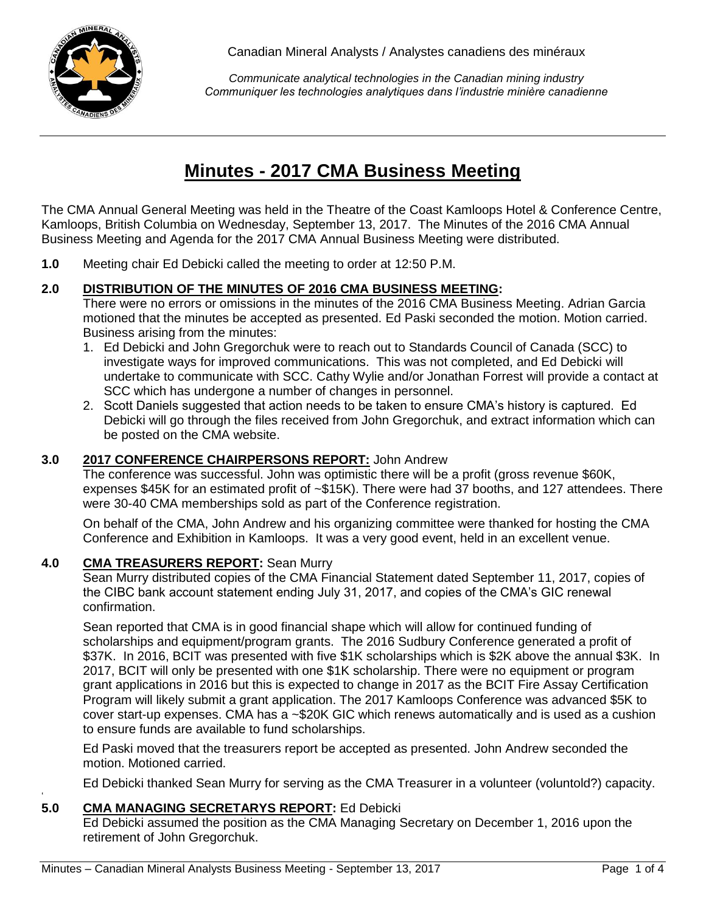

*Communicate analytical technologies in the Canadian mining industry Communiquer les technologies analytiques dans l'industrie minière canadienne*

# **Minutes - 2017 CMA Business Meeting**

The CMA Annual General Meeting was held in the Theatre of the Coast Kamloops Hotel & Conference Centre, Kamloops, British Columbia on Wednesday, September 13, 2017. The Minutes of the 2016 CMA Annual Business Meeting and Agenda for the 2017 CMA Annual Business Meeting were distributed.

**1.0** Meeting chair Ed Debicki called the meeting to order at 12:50 P.M.

### **2.0 DISTRIBUTION OF THE MINUTES OF 2016 CMA BUSINESS MEETING:**

There were no errors or omissions in the minutes of the 2016 CMA Business Meeting. Adrian Garcia motioned that the minutes be accepted as presented. Ed Paski seconded the motion. Motion carried. Business arising from the minutes:

- 1. Ed Debicki and John Gregorchuk were to reach out to Standards Council of Canada (SCC) to investigate ways for improved communications. This was not completed, and Ed Debicki will undertake to communicate with SCC. Cathy Wylie and/or Jonathan Forrest will provide a contact at SCC which has undergone a number of changes in personnel.
- 2. Scott Daniels suggested that action needs to be taken to ensure CMA's history is captured. Ed Debicki will go through the files received from John Gregorchuk, and extract information which can be posted on the CMA website.

# **3.0 2017 CONFERENCE CHAIRPERSONS REPORT:** John Andrew

The conference was successful. John was optimistic there will be a profit (gross revenue \$60K, expenses \$45K for an estimated profit of ~\$15K). There were had 37 booths, and 127 attendees. There were 30-40 CMA memberships sold as part of the Conference registration.

On behalf of the CMA, John Andrew and his organizing committee were thanked for hosting the CMA Conference and Exhibition in Kamloops. It was a very good event, held in an excellent venue.

#### **4.0 CMA TREASURERS REPORT:** Sean Murry

Sean Murry distributed copies of the CMA Financial Statement dated September 11, 2017, copies of the CIBC bank account statement ending July 31, 2017, and copies of the CMA's GIC renewal confirmation.

Sean reported that CMA is in good financial shape which will allow for continued funding of scholarships and equipment/program grants. The 2016 Sudbury Conference generated a profit of \$37K. In 2016, BCIT was presented with five \$1K scholarships which is \$2K above the annual \$3K. In 2017, BCIT will only be presented with one \$1K scholarship. There were no equipment or program grant applications in 2016 but this is expected to change in 2017 as the BCIT Fire Assay Certification Program will likely submit a grant application. The 2017 Kamloops Conference was advanced \$5K to cover start-up expenses. CMA has a ~\$20K GIC which renews automatically and is used as a cushion to ensure funds are available to fund scholarships.

Ed Paski moved that the treasurers report be accepted as presented. John Andrew seconded the motion. Motioned carried.

Ed Debicki thanked Sean Murry for serving as the CMA Treasurer in a volunteer (voluntold?) capacity.

#### ' **5.0 CMA MANAGING SECRETARYS REPORT:** Ed Debicki

Ed Debicki assumed the position as the CMA Managing Secretary on December 1, 2016 upon the retirement of John Gregorchuk.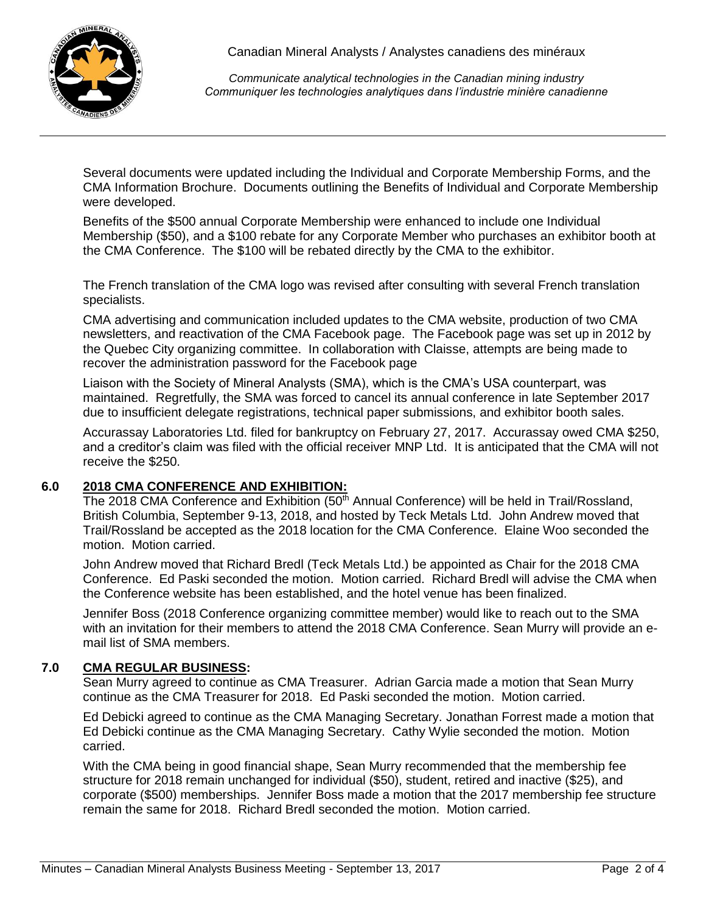

*Communicate analytical technologies in the Canadian mining industry Communiquer les technologies analytiques dans l'industrie minière canadienne*

Several documents were updated including the Individual and Corporate Membership Forms, and the CMA Information Brochure. Documents outlining the Benefits of Individual and Corporate Membership were developed.

Benefits of the \$500 annual Corporate Membership were enhanced to include one Individual Membership (\$50), and a \$100 rebate for any Corporate Member who purchases an exhibitor booth at the CMA Conference. The \$100 will be rebated directly by the CMA to the exhibitor.

The French translation of the CMA logo was revised after consulting with several French translation specialists.

CMA advertising and communication included updates to the CMA website, production of two CMA newsletters, and reactivation of the CMA Facebook page. The Facebook page was set up in 2012 by the Quebec City organizing committee. In collaboration with Claisse, attempts are being made to recover the administration password for the Facebook page

Liaison with the Society of Mineral Analysts (SMA), which is the CMA's USA counterpart, was maintained. Regretfully, the SMA was forced to cancel its annual conference in late September 2017 due to insufficient delegate registrations, technical paper submissions, and exhibitor booth sales.

Accurassay Laboratories Ltd. filed for bankruptcy on February 27, 2017. Accurassay owed CMA \$250, and a creditor's claim was filed with the official receiver MNP Ltd. It is anticipated that the CMA will not receive the \$250.

#### **6.0 2018 CMA CONFERENCE AND EXHIBITION:**

The 2018 CMA Conference and Exhibition  $(50<sup>th</sup>$  Annual Conference) will be held in Trail/Rossland, British Columbia, September 9-13, 2018, and hosted by Teck Metals Ltd. John Andrew moved that Trail/Rossland be accepted as the 2018 location for the CMA Conference. Elaine Woo seconded the motion. Motion carried.

John Andrew moved that Richard Bredl (Teck Metals Ltd.) be appointed as Chair for the 2018 CMA Conference. Ed Paski seconded the motion. Motion carried. Richard Bredl will advise the CMA when the Conference website has been established, and the hotel venue has been finalized.

Jennifer Boss (2018 Conference organizing committee member) would like to reach out to the SMA with an invitation for their members to attend the 2018 CMA Conference. Sean Murry will provide an email list of SMA members.

#### **7.0 CMA REGULAR BUSINESS:**

Sean Murry agreed to continue as CMA Treasurer. Adrian Garcia made a motion that Sean Murry continue as the CMA Treasurer for 2018. Ed Paski seconded the motion. Motion carried.

Ed Debicki agreed to continue as the CMA Managing Secretary. Jonathan Forrest made a motion that Ed Debicki continue as the CMA Managing Secretary. Cathy Wylie seconded the motion. Motion carried.

With the CMA being in good financial shape, Sean Murry recommended that the membership fee structure for 2018 remain unchanged for individual (\$50), student, retired and inactive (\$25), and corporate (\$500) memberships. Jennifer Boss made a motion that the 2017 membership fee structure remain the same for 2018. Richard Bredl seconded the motion. Motion carried.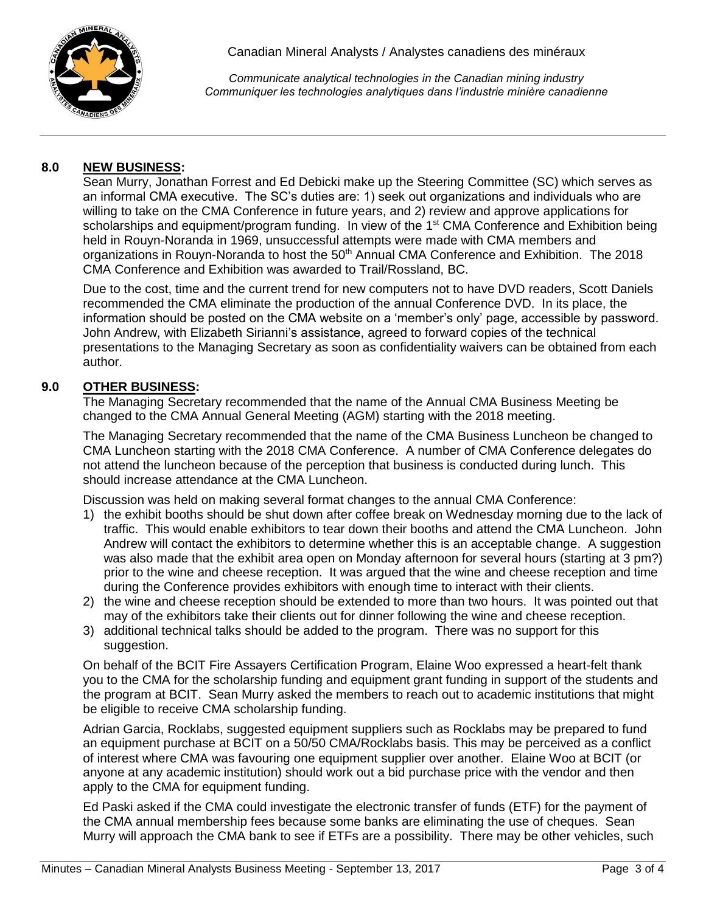

*Communicate analytical technologies in the Canadian mining industry Communiquer les technologies analytiques dans l'industrie minière canadienne*

### **8.0 NEW BUSINESS:**

Sean Murry, Jonathan Forrest and Ed Debicki make up the Steering Committee (SC) which serves as an informal CMA executive. The SC's duties are: 1) seek out organizations and individuals who are willing to take on the CMA Conference in future years, and 2) review and approve applications for scholarships and equipment/program funding. In view of the 1<sup>st</sup> CMA Conference and Exhibition being held in Rouyn-Noranda in 1969, unsuccessful attempts were made with CMA members and organizations in Rouyn-Noranda to host the 50<sup>th</sup> Annual CMA Conference and Exhibition. The 2018 CMA Conference and Exhibition was awarded to Trail/Rossland, BC.

Due to the cost, time and the current trend for new computers not to have DVD readers, Scott Daniels recommended the CMA eliminate the production of the annual Conference DVD. In its place, the information should be posted on the CMA website on a 'member's only' page, accessible by password. John Andrew, with Elizabeth Sirianni's assistance, agreed to forward copies of the technical presentations to the Managing Secretary as soon as confidentiality waivers can be obtained from each author.

### **9.0 OTHER BUSINESS:**

The Managing Secretary recommended that the name of the Annual CMA Business Meeting be changed to the CMA Annual General Meeting (AGM) starting with the 2018 meeting.

The Managing Secretary recommended that the name of the CMA Business Luncheon be changed to CMA Luncheon starting with the 2018 CMA Conference. A number of CMA Conference delegates do not attend the luncheon because of the perception that business is conducted during lunch. This should increase attendance at the CMA Luncheon.

Discussion was held on making several format changes to the annual CMA Conference:

- 1) the exhibit booths should be shut down after coffee break on Wednesday morning due to the lack of traffic. This would enable exhibitors to tear down their booths and attend the CMA Luncheon. John Andrew will contact the exhibitors to determine whether this is an acceptable change. A suggestion was also made that the exhibit area open on Monday afternoon for several hours (starting at 3 pm?) prior to the wine and cheese reception. It was argued that the wine and cheese reception and time during the Conference provides exhibitors with enough time to interact with their clients.
- 2) the wine and cheese reception should be extended to more than two hours. It was pointed out that may of the exhibitors take their clients out for dinner following the wine and cheese reception.
- 3) additional technical talks should be added to the program. There was no support for this suggestion.

On behalf of the BCIT Fire Assayers Certification Program, Elaine Woo expressed a heart-felt thank you to the CMA for the scholarship funding and equipment grant funding in support of the students and the program at BCIT. Sean Murry asked the members to reach out to academic institutions that might be eligible to receive CMA scholarship funding.

Adrian Garcia, Rocklabs, suggested equipment suppliers such as Rocklabs may be prepared to fund an equipment purchase at BCIT on a 50/50 CMA/Rocklabs basis. This may be perceived as a conflict of interest where CMA was favouring one equipment supplier over another. Elaine Woo at BCIT (or anyone at any academic institution) should work out a bid purchase price with the vendor and then apply to the CMA for equipment funding.

Ed Paski asked if the CMA could investigate the electronic transfer of funds (ETF) for the payment of the CMA annual membership fees because some banks are eliminating the use of cheques. Sean Murry will approach the CMA bank to see if ETFs are a possibility. There may be other vehicles, such